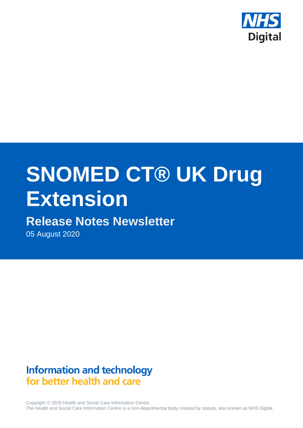

# **SNOMED CT® UK Drug Extension**

# **Release Notes Newsletter**

05 August 2020

# **Information and technology** for better health and care

Copyright © 2020 Health and Social Care Information Centre. The Health and Social Care Information Centre is a non-departmental body created by statute, also known as NHS Digital.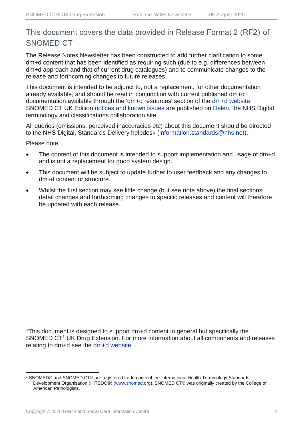# This document covers the data provided in Release Format 2 (RF2) of SNOMED CT

The Release Notes Newsletter has been constructed to add further clarification to some dm+d content that has been identified as requiring such (due to e.g. differences between dm+d approach and that of current drug catalogues) and to communicate changes to the release and forthcoming changes to future releases.

This document is intended to be adjunct to, not a replacement, for other documentation already available, and should be read in conjunction with current published dm+d documentation available through the 'dm+d resources' section of the [dm+d website.](https://www.nhsbsa.nhs.uk/pharmacies-gp-practices-and-appliance-contractors/dictionary-medicines-and-devices-dmd) SNOMED CT UK Edition [notices and known issues](https://hscic.kahootz.com/connect.ti/t_c_home/view?objectId=14224752) are published on [Delen,](https://hscic.kahootz.com/connect.ti/t_c_home) the NHS Digital terminology and classifications collaboration site.

All queries (omissions, perceived inaccuracies etc) about this document should be directed to the NHS Digital, Standards Delivery helpdesk [\(information.standards@nhs.net\)](mailto:information.standards@nhs.net).

Please note:

- The content of this document is intended to support implementation and usage of dm+d and is not a replacement for good system design.
- This document will be subject to update further to user feedback and any changes to dm+d content or structure.
- Whilst the first section may see little change (but see note above) the final sections detail changes and forthcoming changes to specific releases and content will therefore be updated with each release.

\*This document is designed to support dm+d content in general but specifically the SNOMED CT<sup>1</sup> UK Drug Extension. For more information about all components and releases relating to dm+d see the [dm+d website](https://www.nhsbsa.nhs.uk/pharmacies-gp-practices-and-appliance-contractors/dictionary-medicines-and-devices-dmd)

<sup>1</sup> SNOMED® and SNOMED CT® are registered trademarks of the International Health Terminology Standards Development Organisation (IHTSDO®) [\(www.snomed.org\)](http://www.snomed.org/). SNOMED CT® was originally created by the College of American Pathologists.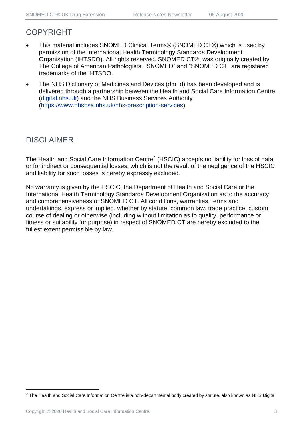## COPYRIGHT

- This material includes SNOMED Clinical Terms® (SNOMED CT®) which is used by permission of the International Health Terminology Standards Development Organisation (IHTSDO). All rights reserved. SNOMED CT®, was originally created by The College of American Pathologists. "SNOMED" and "SNOMED CT" are registered trademarks of the IHTSDO.
- The NHS Dictionary of Medicines and Devices (dm+d) has been developed and is delivered through a partnership between the Health and Social Care Information Centre [\(digital.nhs.uk\)](https://digital.nhs.uk/) and the NHS Business Services Authority [\(https://www.nhsbsa.nhs.uk/nhs-prescription-services\)](https://www.nhsbsa.nhs.uk/nhs-prescription-services)

## DISCLAIMER

The Health and Social Care Information Centre<sup>2</sup> (HSCIC) accepts no liability for loss of data or for indirect or consequential losses, which is not the result of the negligence of the HSCIC and liability for such losses is hereby expressly excluded.

No warranty is given by the HSCIC, the Department of Health and Social Care or the International Health Terminology Standards Development Organisation as to the accuracy and comprehensiveness of SNOMED CT. All conditions, warranties, terms and undertakings, express or implied, whether by statute, common law, trade practice, custom, course of dealing or otherwise (including without limitation as to quality, performance or fitness or suitability for purpose) in respect of SNOMED CT are hereby excluded to the fullest extent permissible by law.

<sup>&</sup>lt;sup>2</sup> The Health and Social Care Information Centre is a non-departmental body created by statute, also known as NHS Digital.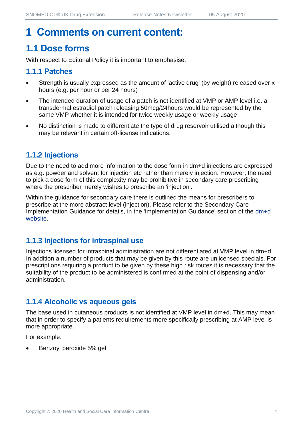# **1 Comments on current content:**

# **1.1 Dose forms**

With respect to Editorial Policy it is important to emphasise:

#### **1.1.1 Patches**

- Strength is usually expressed as the amount of 'active drug' (by weight) released over x hours (e.g. per hour or per 24 hours)
- The intended duration of usage of a patch is not identified at VMP or AMP level i.e. a transdermal estradiol patch releasing 50mcg/24hours would be represented by the same VMP whether it is intended for twice weekly usage or weekly usage
- No distinction is made to differentiate the type of drug reservoir utilised although this may be relevant in certain off-license indications.

#### **1.1.2 Injections**

Due to the need to add more information to the dose form in dm+d injections are expressed as e.g. powder and solvent for injection etc rather than merely injection. However, the need to pick a dose form of this complexity may be prohibitive in secondary care prescribing where the prescriber merely wishes to prescribe an 'injection'.

Within the guidance for secondary care there is outlined the means for prescribers to prescribe at the more abstract level (injection). Please refer to the Secondary Care Implementation Guidance for details, in the 'Implementation Guidance' section of the [dm+d](https://www.nhsbsa.nhs.uk/pharmacies-gp-practices-and-appliance-contractors/dictionary-medicines-and-devices-dmd)  [website.](https://www.nhsbsa.nhs.uk/pharmacies-gp-practices-and-appliance-contractors/dictionary-medicines-and-devices-dmd)

#### **1.1.3 Injections for intraspinal use**

Injections licensed for intraspinal administration are not differentiated at VMP level in dm+d. In addition a number of products that may be given by this route are unlicensed specials. For prescriptions requiring a product to be given by these high risk routes it is necessary that the suitability of the product to be administered is confirmed at the point of dispensing and/or administration.

#### **1.1.4 Alcoholic vs aqueous gels**

The base used in cutaneous products is not identified at VMP level in dm+d. This may mean that in order to specify a patients requirements more specifically prescribing at AMP level is more appropriate.

For example:

• Benzoyl peroxide 5% gel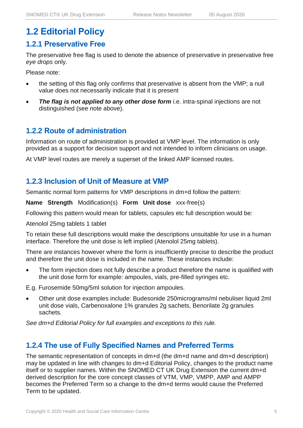# **1.2 Editorial Policy**

#### **1.2.1 Preservative Free**

The preservative free flag is used to denote the absence of preservative in preservative free *eye drops* only.

Please note:

- the setting of this flag only confirms that preservative is absent from the VMP; a null value does not necessarily indicate that it is present
- **The flag is not applied to any other dose form** i.e. intra-spinal injections are not distinguished (see note above).

#### **1.2.2 Route of administration**

Information on route of administration is provided at VMP level. The information is only provided as a support for decision support and not intended to inform clinicians on usage.

At VMP level routes are merely a superset of the linked AMP licensed routes.

#### **1.2.3 Inclusion of Unit of Measure at VMP**

Semantic normal form patterns for VMP descriptions in dm+d follow the pattern:

**Name Strength** Modification(s) **Form Unit dose** xxx-free(s)

Following this pattern would mean for tablets, capsules etc full description would be:

Atenolol 25mg tablets 1 tablet

To retain these full descriptions would make the descriptions unsuitable for use in a human interface. Therefore the unit dose is left implied (Atenolol 25mg tablets).

There are instances however where the form is insufficiently precise to describe the product and therefore the unit dose is included in the name. These instances include:

The form injection does not fully describe a product therefore the name is qualified with the unit dose form for example: ampoules, vials, pre-filled syringes etc.

E.g. Furosemide 50mg/5ml solution for injection ampoules.

• Other unit dose examples include: Budesonide 250micrograms/ml nebuliser liquid 2ml unit dose vials, Carbenoxalone 1% granules 2g sachets, Benorilate 2g granules sachets.

*See dm+d Editorial Policy for full examples and exceptions to this rule.*

#### **1.2.4 The use of Fully Specified Names and Preferred Terms**

The semantic representation of concepts in dm+d (the dm+d name and dm+d description) may be updated in line with changes to dm+d Editorial Policy, changes to the product name itself or to supplier names. Within the SNOMED CT UK Drug Extension the current dm+d derived description for the core concept classes of VTM, VMP, VMPP, AMP and AMPP becomes the Preferred Term so a change to the dm+d terms would cause the Preferred Term to be updated.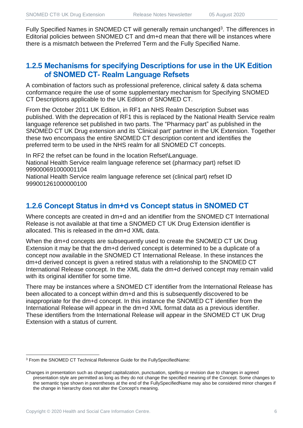Fully Specified Names in SNOMED CT will generally remain unchanged<sup>3</sup>. The differences in Editorial policies between SNOMED CT and dm+d mean that there will be instances where there is a mismatch between the Preferred Term and the Fully Specified Name.

#### **1.2.5 Mechanisms for specifying Descriptions for use in the UK Edition of SNOMED CT- Realm Language Refsets**

A combination of factors such as professional preference, clinical safety & data schema conformance require the use of some supplementary mechanism for Specifying SNOMED CT Descriptions applicable to the UK Edition of SNOMED CT.

From the October 2011 UK Edition, in RF1 an NHS Realm Description Subset was published. With the deprecation of RF1 this is replaced by the National Health Service realm language reference set published in two parts. The "Pharmacy part" as published in the SNOMED CT UK Drug extension and its 'Clinical part' partner in the UK Extension. Together these two encompass the entire SNOMED CT description content and identifies the preferred term to be used in the NHS realm for all SNOMED CT concepts.

In RF2 the refset can be found in the location Refset\Language. National Health Service realm language reference set (pharmacy part) refset ID 999000691000001104

National Health Service realm language reference set (clinical part) refset ID 999001261000000100

#### **1.2.6 Concept Status in dm+d vs Concept status in SNOMED CT**

Where concepts are created in dm+d and an identifier from the SNOMED CT International Release is not available at that time a SNOMED CT UK Drug Extension identifier is allocated. This is released in the dm+d XML data.

When the dm+d concepts are subsequently used to create the SNOMED CT UK Drug Extension it may be that the dm+d derived concept is determined to be a duplicate of a concept now available in the SNOMED CT International Release. In these instances the dm+d derived concept is given a retired status with a relationship to the SNOMED CT International Release concept. In the XML data the dm+d derived concept may remain valid with its original identifier for some time.

There may be instances where a SNOMED CT identifier from the International Release has been allocated to a concept within dm+d and this is subsequently discovered to be inappropriate for the dm+d concept. In this instance the SNOMED CT identifier from the International Release will appear in the dm+d XML format data as a previous identifier. These identifiers from the International Release will appear in the SNOMED CT UK Drug Extension with a status of current.

<sup>3</sup> From the SNOMED CT Technical Reference Guide for the FullySpecifiedName:

Changes in presentation such as changed capitalization, punctuation, spelling or revision due to changes in agreed presentation style are permitted as long as they do not change the specified meaning of the Concept. Some changes to the semantic type shown in parentheses at the end of the FullySpecifiedName may also be considered minor changes if the change in hierarchy does not alter the Concept's meaning.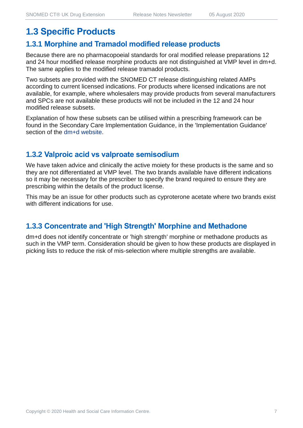# **1.3 Specific Products**

#### **1.3.1 Morphine and Tramadol modified release products**

Because there are no pharmacopoeial standards for oral modified release preparations 12 and 24 hour modified release morphine products are not distinguished at VMP level in dm+d. The same applies to the modified release tramadol products.

Two subsets are provided with the SNOMED CT release distinguishing related AMPs according to current licensed indications. For products where licensed indications are not available, for example, where wholesalers may provide products from several manufacturers and SPCs are not available these products will not be included in the 12 and 24 hour modified release subsets.

Explanation of how these subsets can be utilised within a prescribing framework can be found in the Secondary Care Implementation Guidance, in the 'Implementation Guidance' section of the [dm+d website.](https://www.nhsbsa.nhs.uk/pharmacies-gp-practices-and-appliance-contractors/dictionary-medicines-and-devices-dmd)

#### **1.3.2 Valproic acid vs valproate semisodium**

We have taken advice and clinically the active moiety for these products is the same and so they are not differentiated at VMP level. The two brands available have different indications so it may be necessary for the prescriber to specify the brand required to ensure they are prescribing within the details of the product license.

This may be an issue for other products such as cyproterone acetate where two brands exist with different indications for use.

#### **1.3.3 Concentrate and 'High Strength' Morphine and Methadone**

dm+d does not identify concentrate or 'high strength' morphine or methadone products as such in the VMP term. Consideration should be given to how these products are displayed in picking lists to reduce the risk of mis-selection where multiple strengths are available.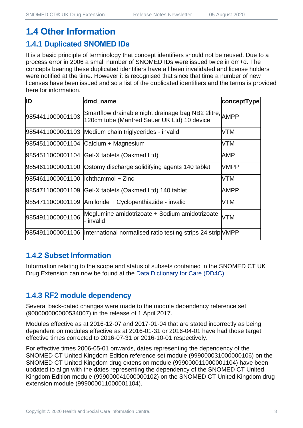# **1.4 Other Information**

#### **1.4.1 Duplicated SNOMED IDs**

It is a basic principle of terminology that concept identifiers should not be reused. Due to a process error in 2006 a small number of SNOMED IDs were issued twice in dm+d. The concepts bearing these duplicated identifiers have all been invalidated and license holders were notified at the time. However it is recognised that since that time a number of new licenses have been issued and so a list of the duplicated identifiers and the terms is provided here for information.

| ID                                   | dmd_name                                                                                               | conceptType |
|--------------------------------------|--------------------------------------------------------------------------------------------------------|-------------|
| 9854411000001103                     | Smartflow drainable night drainage bag NB2 2litre, AMPP<br>120cm tube (Manfred Sauer UK Ltd) 10 device |             |
|                                      | 9854411000001103 Medium chain triglycerides - invalid                                                  | VTM         |
|                                      | 9854511000001104 Calcium + Magnesium                                                                   | VTM         |
|                                      | 9854511000001104 Gel-X tablets (Oakmed Ltd)                                                            | AMP         |
|                                      | 9854611000001100 Ostomy discharge solidifying agents 140 tablet                                        | <b>VMPP</b> |
| 9854611000001100   Ichthammol + Zinc |                                                                                                        | VTM         |
|                                      | 9854711000001109 Gel-X tablets (Oakmed Ltd) 140 tablet                                                 | <b>AMPP</b> |
|                                      | 9854711000001109 Amiloride + Cyclopenthiazide - invalid                                                | VTM         |
| 9854911000001106                     | Meglumine amidotrizoate + Sodium amidotrizoate<br>- invalid                                            | VTM         |
|                                      | 9854911000001106  International normalised ratio testing strips 24 strip VMPP                          |             |

#### **1.4.2 Subset Information**

Information relating to the scope and status of subsets contained in the SNOMED CT UK Drug Extension can now be found at the [Data Dictionary for Care \(DD4C\).](https://dd4c.digital.nhs.uk/dd4c/)

### **1.4.3 RF2 module dependency**

Several back-dated changes were made to the module dependency reference set (900000000000534007) in the release of 1 April 2017.

Modules effective as at 2016-12-07 and 2017-01-04 that are stated incorrectly as being dependent on modules effective as at 2016-01-31 or 2016-04-01 have had those target effective times corrected to 2016-07-31 or 2016-10-01 respectively.

For effective times 2006-05-01 onwards, dates representing the dependency of the SNOMED CT United Kingdom Edition reference set module (999000031000000106) on the SNOMED CT United Kingdom drug extension module (999000011000001104) have been updated to align with the dates representing the dependency of the SNOMED CT United Kingdom Edition module (999000041000000102) on the SNOMED CT United Kingdom drug extension module (999000011000001104).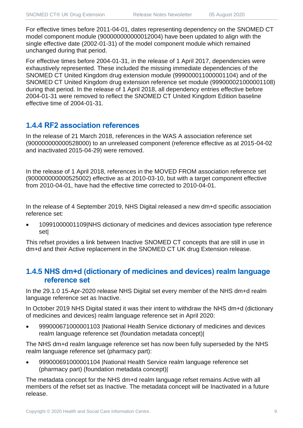For effective times before 2011-04-01, dates representing dependency on the SNOMED CT model component module (900000000000012004) have been updated to align with the single effective date (2002-01-31) of the model component module which remained unchanged during that period.

For effective times before 2004-01-31, in the release of 1 April 2017, dependencies were exhaustively represented. These included the missing immediate dependencies of the SNOMED CT United Kingdom drug extension module (999000011000001104) and of the SNOMED CT United Kingdom drug extension reference set module (999000021000001108) during that period. In the release of 1 April 2018, all dependency entries effective before 2004-01-31 were removed to reflect the SNOMED CT United Kingdom Edition baseline effective time of 2004-01-31.

#### **1.4.4 RF2 association references**

In the release of 21 March 2018, references in the WAS A association reference set (900000000000528000) to an unreleased component (reference effective as at 2015-04-02 and inactivated 2015-04-29) were removed.

In the release of 1 April 2018, references in the MOVED FROM association reference set (900000000000525002) effective as at 2010-03-10, but with a target component effective from 2010-04-01, have had the effective time corrected to 2010-04-01.

In the release of 4 September 2019, NHS Digital released a new dm+d specific association reference set:

• 10991000001109|NHS dictionary of medicines and devices association type reference set|

This refset provides a link between Inactive SNOMED CT concepts that are still in use in dm+d and their Active replacement in the SNOMED CT UK drug Extension release.

#### **1.4.5 NHS dm+d (dictionary of medicines and devices) realm language reference set**

In the 29.1.0 15-Apr-2020 release NHS Digital set every member of the NHS dm+d realm language reference set as Inactive.

In October 2019 NHS Digital stated it was their intent to withdraw the NHS dm+d (dictionary of medicines and devices) realm language reference set in April 2020:

• 999000671000001103 |National Health Service dictionary of medicines and devices realm language reference set (foundation metadata concept)|

The NHS dm+d realm language reference set has now been fully superseded by the NHS realm language reference set (pharmacy part):

• 999000691000001104 |National Health Service realm language reference set (pharmacy part) (foundation metadata concept)|

The metadata concept for the NHS dm+d realm language refset remains Active with all members of the refset set as Inactive. The metadata concept will be Inactivated in a future release.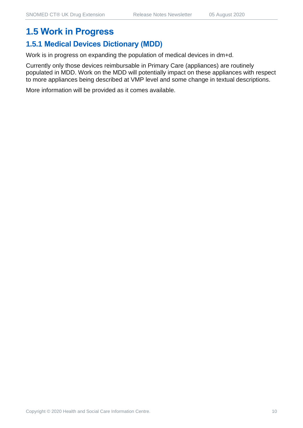# **1.5 Work in Progress**

#### **1.5.1 Medical Devices Dictionary (MDD)**

Work is in progress on expanding the population of medical devices in dm+d.

Currently only those devices reimbursable in Primary Care (appliances) are routinely populated in MDD. Work on the MDD will potentially impact on these appliances with respect to more appliances being described at VMP level and some change in textual descriptions.

More information will be provided as it comes available.